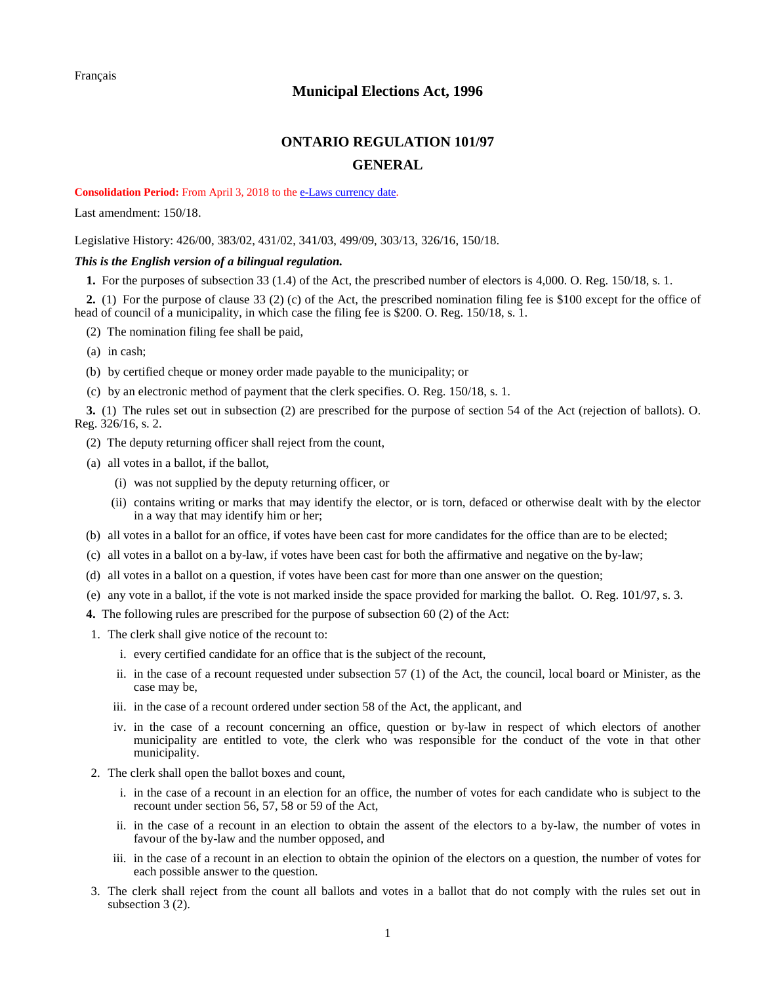## **Municipal Elections Act, 1996**

## **ONTARIO REGULATION 101/97 GENERAL**

## <span id="page-0-0"></span>**Consolidation Period:** From April 3, 2018 to th[e e-Laws currency date.](http://www.e-laws.gov.on.ca/navigation?file=currencyDates&lang=en)

Last amendment[: 150/18.](https://www.ontario.ca/laws/regulation/R18150)

Legislative History: [426/00,](https://www.ontario.ca/laws/regulation/R00426) [383/02,](https://www.ontario.ca/laws/regulation/R02383) [431/02,](https://www.ontario.ca/laws/regulation/R02431) [341/03,](https://www.ontario.ca/laws/regulation/R03341) [499/09,](https://www.ontario.ca/laws/regulation/R09499) [303/13,](https://www.ontario.ca/laws/regulation/R13303) [326/16,](https://www.ontario.ca/laws/regulation/R16326) [150/18.](https://www.ontario.ca/laws/regulation/R18150)

## *This is the English version of a bilingual regulation.*

**1.** For the purposes of subsection 33 (1.4) of the Act, the prescribed number of electors is 4,000. O. Reg. 150/18, s. 1.

**2.** (1) For the purpose of clause 33 (2) (c) of the Act, the prescribed nomination filing fee is \$100 except for the office of head of council of a municipality, in which case the filing fee is \$200. O. Reg. 150/18, s. 1.

(2) The nomination filing fee shall be paid,

(a) in cash;

(b) by certified cheque or money order made payable to the municipality; or

(c) by an electronic method of payment that the clerk specifies. O. Reg. 150/18, s. 1.

**3.** (1) The rules set out in subsection (2) are prescribed for the purpose of section 54 of the Act (rejection of ballots). O. Reg. 326/16, s. 2.

- (2) The deputy returning officer shall reject from the count,
- (a) all votes in a ballot, if the ballot,
	- (i) was not supplied by the deputy returning officer, or
	- (ii) contains writing or marks that may identify the elector, or is torn, defaced or otherwise dealt with by the elector in a way that may identify him or her;
- (b) all votes in a ballot for an office, if votes have been cast for more candidates for the office than are to be elected;
- (c) all votes in a ballot on a by-law, if votes have been cast for both the affirmative and negative on the by-law;
- (d) all votes in a ballot on a question, if votes have been cast for more than one answer on the question;
- (e) any vote in a ballot, if the vote is not marked inside the space provided for marking the ballot. O. Reg. 101/97, s. 3.
- **4.** The following rules are prescribed for the purpose of subsection 60 (2) of the Act:
- 1. The clerk shall give notice of the recount to:
	- i. every certified candidate for an office that is the subject of the recount,
	- ii. in the case of a recount requested under subsection 57 (1) of the Act, the council, local board or Minister, as the case may be,
	- iii. in the case of a recount ordered under section 58 of the Act, the applicant, and
	- iv. in the case of a recount concerning an office, question or by-law in respect of which electors of another municipality are entitled to vote, the clerk who was responsible for the conduct of the vote in that other municipality.
- 2. The clerk shall open the ballot boxes and count,
	- i. in the case of a recount in an election for an office, the number of votes for each candidate who is subject to the recount under section 56, 57, 58 or 59 of the Act,
	- ii. in the case of a recount in an election to obtain the assent of the electors to a by-law, the number of votes in favour of the by-law and the number opposed, and
	- iii. in the case of a recount in an election to obtain the opinion of the electors on a question, the number of votes for each possible answer to the question.
- 3. The clerk shall reject from the count all ballots and votes in a ballot that do not comply with the rules set out in subsection 3 (2).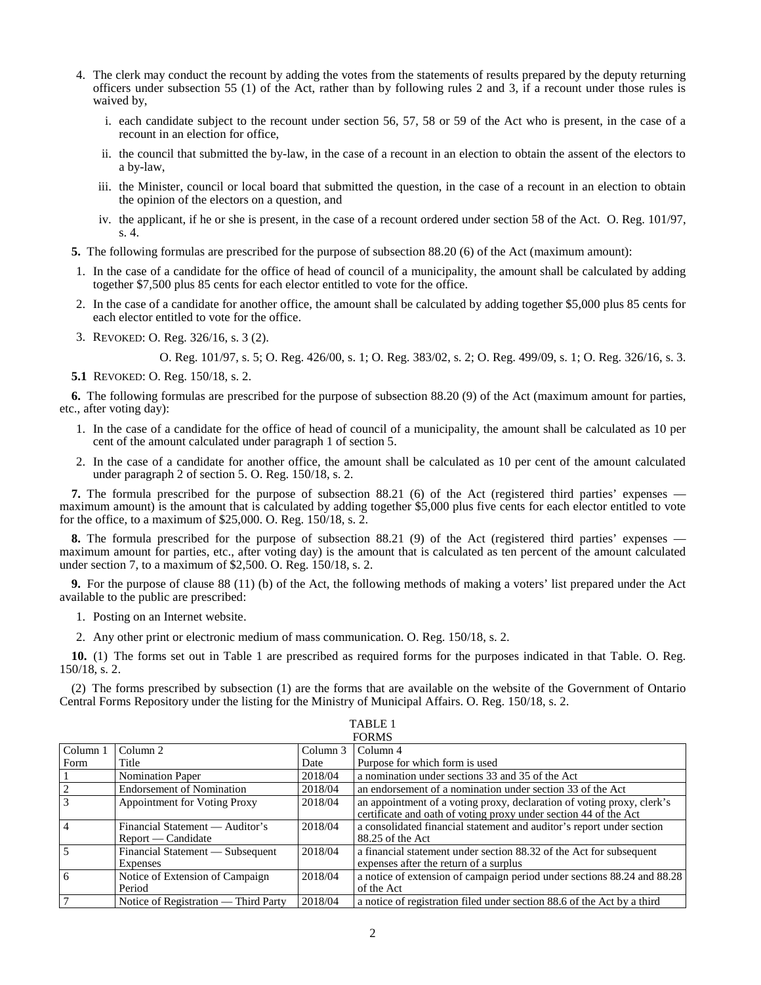- 4. The clerk may conduct the recount by adding the votes from the statements of results prepared by the deputy returning officers under subsection 55 (1) of the Act, rather than by following rules 2 and 3, if a recount under those rules is waived by,
	- i. each candidate subject to the recount under section 56, 57, 58 or 59 of the Act who is present, in the case of a recount in an election for office,
	- ii. the council that submitted the by-law, in the case of a recount in an election to obtain the assent of the electors to a by-law,
	- iii. the Minister, council or local board that submitted the question, in the case of a recount in an election to obtain the opinion of the electors on a question, and
	- iv. the applicant, if he or she is present, in the case of a recount ordered under section 58 of the Act. O. Reg. 101/97, s. 4.
- **5.** The following formulas are prescribed for the purpose of subsection 88.20 (6) of the Act (maximum amount):
- 1. In the case of a candidate for the office of head of council of a municipality, the amount shall be calculated by adding together \$7,500 plus 85 cents for each elector entitled to vote for the office.
- 2. In the case of a candidate for another office, the amount shall be calculated by adding together \$5,000 plus 85 cents for each elector entitled to vote for the office.
- 3. REVOKED: O. Reg. 326/16, s. 3 (2).

O. Reg. 101/97, s. 5; O. Reg. 426/00, s. 1; O. Reg. 383/02, s. 2; O. Reg. 499/09, s. 1; O. Reg. 326/16, s. 3.

**5.1** REVOKED: O. Reg. 150/18, s. 2.

**6.** The following formulas are prescribed for the purpose of subsection 88.20 (9) of the Act (maximum amount for parties, etc., after voting day):

- 1. In the case of a candidate for the office of head of council of a municipality, the amount shall be calculated as 10 per cent of the amount calculated under paragraph 1 of section 5.
- 2. In the case of a candidate for another office, the amount shall be calculated as 10 per cent of the amount calculated under paragraph 2 of section 5. O. Reg. 150/18, s. 2.

**7.** The formula prescribed for the purpose of subsection 88.21 (6) of the Act (registered third parties' expenses maximum amount) is the amount that is calculated by adding together \$5,000 plus five cents for each elector entitled to vote for the office, to a maximum of \$25,000. O. Reg. 150/18, s. 2.

**8.** The formula prescribed for the purpose of subsection 88.21 (9) of the Act (registered third parties' expenses maximum amount for parties, etc., after voting day) is the amount that is calculated as ten percent of the amount calculated under section 7, to a maximum of \$2,500. O. Reg. 150/18, s. 2.

**9.** For the purpose of clause 88 (11) (b) of the Act, the following methods of making a voters' list prepared under the Act available to the public are prescribed:

1. Posting on an Internet website.

2. Any other print or electronic medium of mass communication. O. Reg. 150/18, s. 2.

**10.** (1) The forms set out in Table 1 are prescribed as required forms for the purposes indicated in that Table. O. Reg. 150/18, s. 2.

(2) The forms prescribed by subsection (1) are the forms that are available on the website of the Government of Ontario Central Forms Repository under the listing for the Ministry of Municipal Affairs. O. Reg. 150/18, s. 2.

| <b>FORMS</b>                 |                                                         |          |                                                                                                                                            |  |
|------------------------------|---------------------------------------------------------|----------|--------------------------------------------------------------------------------------------------------------------------------------------|--|
| $\overline{\text{Column}}$ 1 | Column 2                                                | Column 3 | Column 4                                                                                                                                   |  |
| Form                         | Title                                                   | Date     | Purpose for which form is used                                                                                                             |  |
|                              | <b>Nomination Paper</b>                                 | 2018/04  | a nomination under sections 33 and 35 of the Act                                                                                           |  |
| $\frac{2}{3}$                | <b>Endorsement of Nomination</b>                        | 2018/04  | an endorsement of a nomination under section 33 of the Act                                                                                 |  |
|                              | <b>Appointment for Voting Proxy</b>                     | 2018/04  | an appointment of a voting proxy, declaration of voting proxy, clerk's<br>certificate and oath of voting proxy under section 44 of the Act |  |
| $\overline{4}$               | Financial Statement — Auditor's<br>$Report$ — Candidate | 2018/04  | a consolidated financial statement and auditor's report under section<br>$88.25$ of the Act                                                |  |
| $\overline{5}$               | Financial Statement — Subsequent<br><b>Expenses</b>     | 2018/04  | a financial statement under section 88.32 of the Act for subsequent<br>expenses after the return of a surplus                              |  |
| <u>6</u>                     | Notice of Extension of Campaign<br>Period               | 2018/04  | a notice of extension of campaign period under sections 88.24 and 88.28<br>of the Act                                                      |  |
| $\overline{7}$               | Notice of Registration — Third Party                    | 2018/04  | a notice of registration filed under section 88.6 of the Act by a third                                                                    |  |

TABLE 1